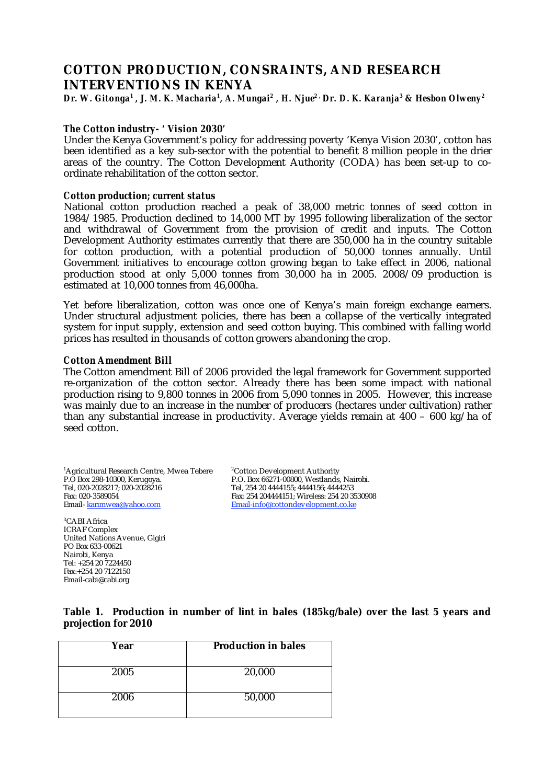# **COTTON PRODUCTION, CONSRAINTS, AND RESEARCH INTERVENTIONS IN KENYA**

Dr. W. Gitonga<sup>1</sup> , J. M. K. Macharia<sup>1</sup>, A. Mungai<sup>2</sup> , H. Njue<sup>2 ,</sup> Dr. D. K. Karanja<sup>3</sup> & Hesbon Olweny<sup>2</sup>

# *The Cotton industry- ' Vision 2030'*

Under the Kenya Government's policy for addressing poverty 'Kenya Vision 2030', cotton has been identified as a key sub-sector with the potential to benefit 8 million people in the drier areas of the country. The Cotton Development Authority (CODA) has been set-up to coordinate rehabilitation of the cotton sector.

### *Cotton production; current status*

National cotton production reached a peak of 38,000 metric tonnes of seed cotton in 1984/1985. Production declined to 14,000 MT by 1995 following liberalization of the sector and withdrawal of Government from the provision of credit and inputs. The Cotton Development Authority estimates currently that there are 350,000 ha in the country suitable for cotton production, with a potential production of 50,000 tonnes annually. Until Government initiatives to encourage cotton growing began to take effect in 2006, national production stood at only 5,000 tonnes from 30,000 ha in 2005. 2008/09 production is estimated at 10,000 tonnes from 46,000ha.

Yet before liberalization, cotton was once one of Kenya's main foreign exchange earners. Under structural adjustment policies, there has been a collapse of the vertically integrated system for input supply, extension and seed cotton buying. This combined with falling world prices has resulted in thousands of cotton growers abandoning the crop.

### *Cotton Amendment Bill*

The Cotton amendment Bill of 2006 provided the legal framework for Government supported re-organization of the cotton sector. Already there has been some impact with national production rising to 9,800 tonnes in 2006 from 5,090 tonnes in 2005. However, this increase was mainly due to an increase in the number of producers (hectares under cultivation) rather than any substantial increase in productivity. Average yields remain at 400 – 600 kg/ha of seed cotton.

 $1$ Agricultural Research Centre, Mwea Tebere  $2$ P.O Box 298-10300, Kerugoya. P.O. Box 66271-00800, Westlands, Nairobi. Tel, 020-2028217; 020-2028216 Tel, 254 20 4444155; 4444156; 4444253 Fax: 020-3589054 Fax: 254 204444151; Wireless: 254 20 3530908

Cotton Development Authority Email-info@cottondevelopment.co.ke

3 CABI Africa ICRAF Complex United Nations Avenue, Gigiri PO Box 633-00621 Nairobi, Kenya Tel: +254 20 7224450 Fax:+254 20 7122150 Email-cabi@cabi.org

**Table 1. Production in number of lint in bales (185kg/bale) over the last 5 years and projection for 2010** 

|      | <b>Production in bales</b> |  |  |
|------|----------------------------|--|--|
| Year |                            |  |  |
|      |                            |  |  |
| 2005 | 20,000                     |  |  |
| 2006 | 50,000                     |  |  |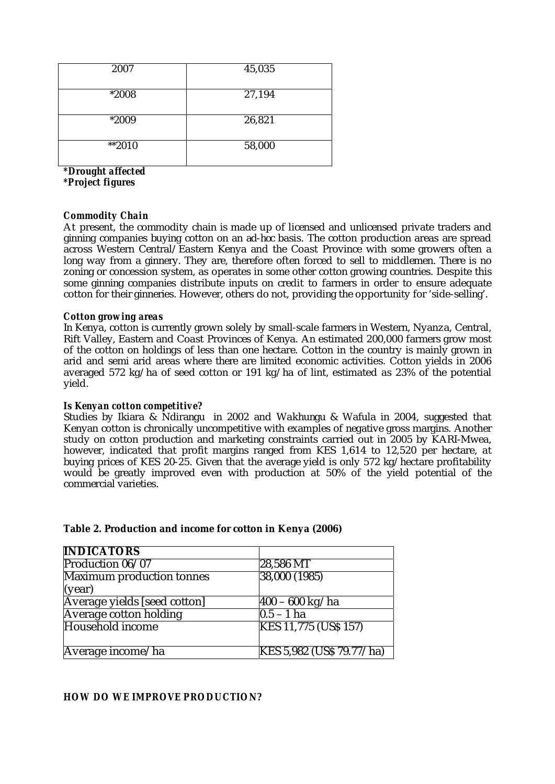| 2007    | 45,035 |
|---------|--------|
| *2008   | 27,194 |
| *2009   | 26,821 |
| $*2010$ | 58,000 |

*\*Drought affected \*Project figures*

### *Commodity Chain*

At present, the commodity chain is made up of licensed and unlicensed private traders and ginning companies buying cotton on an *ad-hoc* basis. The cotton production areas are spread across Western Central/Eastern Kenya and the Coast Province with some growers often a long way from a ginnery. They are, therefore often forced to sell to middlemen. There is no zoning or concession system, as operates in some other cotton growing countries. Despite this some ginning companies distribute inputs on credit to farmers in order to ensure adequate cotton for their ginneries. However, others do not, providing the opportunity for 'side-selling'.

### *Cotton growing areas*

In Kenya, cotton is currently grown solely by small-scale farmers in Western, Nyanza, Central, Rift Valley, Eastern and Coast Provinces of Kenya. An estimated 200,000 farmers grow most of the cotton on holdings of less than one hectare. Cotton in the country is mainly grown in arid and semi arid areas where there are limited economic activities. Cotton yields in 2006 averaged 572 kg/ha of seed cotton or 191 kg/ha of lint, estimated as 23% of the potential yield.

### *Is Kenyan cotton competitive?*

Studies by Ikiara & Ndirangu in 2002 and Wakhungu & Wafula in 2004, suggested that Kenyan cotton is chronically uncompetitive with examples of negative gross margins. Another study on cotton production and marketing constraints carried out in 2005 by KARI-Mwea, however, indicated that profit margins ranged from KES 1,614 to 12,520 per hectare, at buying prices of KES 20-25. Given that the average yield is only 572 kg/hectare profitability would be greatly improved even with production at 50% of the yield potential of the commercial varieties.

| <b>INDICATORS</b>             |                                  |
|-------------------------------|----------------------------------|
| Production 06/07              | 28,586 MT                        |
| Maximum production tonnes     | 38,000 (1985)                    |
| (year)                        |                                  |
| Average yields [seed cotton]  | $\sqrt{400} - 600 \text{ kg/ha}$ |
| <b>Average cotton holding</b> | $0.5 - 1$ ha                     |
| Household income              | KES 11,775 (US\$ 157)            |
|                               |                                  |
| Average income/ha             | KES 5,982 (US\$ 79.77/ha)        |

### **Table 2. Production and income for cotton in Kenya (2006)**

### *HOW DO WE IMPROVE PRODUCTION?*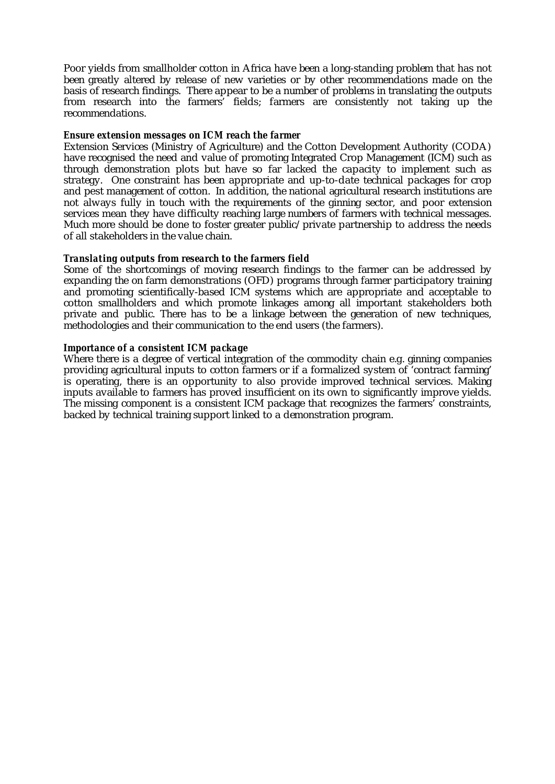Poor yields from smallholder cotton in Africa have been a long-standing problem that has not been greatly altered by release of new varieties or by other recommendations made on the basis of research findings. There appear to be a number of problems in translating the outputs from research into the farmers' fields; farmers are consistently not taking up the recommendations.

### *Ensure extension messages on ICM reach the farmer*

Extension Services (Ministry of Agriculture) and the Cotton Development Authority (CODA) have recognised the need and value of promoting Integrated Crop Management (ICM) such as through demonstration plots but have so far lacked the capacity to implement such as strategy. One constraint has been appropriate and up-to-date technical packages for crop and pest management of cotton. In addition, the national agricultural research institutions are not always fully in touch with the requirements of the ginning sector, and poor extension services mean they have difficulty reaching large numbers of farmers with technical messages. Much more should be done to foster greater public/private partnership to address the needs of all stakeholders in the value chain.

### *Translating outputs from research to the farmers field*

Some of the shortcomings of moving research findings to the farmer can be addressed by expanding the on farm demonstrations (OFD) programs through farmer participatory training and promoting scientifically-based ICM systems which are appropriate and acceptable to cotton smallholders and which promote linkages among all important stakeholders both private and public. There has to be a linkage between the generation of new techniques, methodologies and their communication to the end users (the farmers).

### *Importance of a consistent ICM package*

Where there is a degree of vertical integration of the commodity chain e.g. ginning companies providing agricultural inputs to cotton farmers or if a formalized system of 'contract farming' is operating, there is an opportunity to also provide improved technical services. Making inputs available to farmers has proved insufficient on its own to significantly improve yields. The missing component is a consistent ICM package that recognizes the farmers' constraints, backed by technical training support linked to a demonstration program.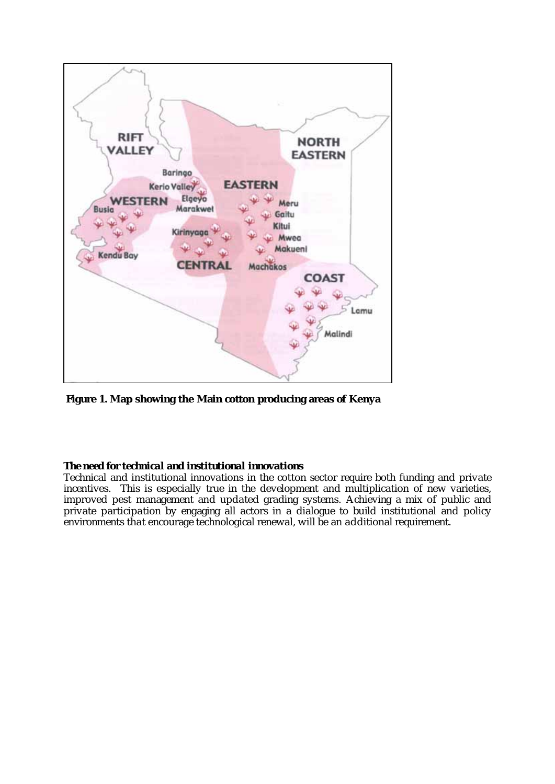

 **Figure 1. Map showing the Main cotton producing areas of Kenya** 

# *The need for technical and institutional innovations*

Technical and institutional innovations in the cotton sector require both funding and private incentives. This is especially true in the development and multiplication of new varieties, improved pest management and updated grading systems. Achieving a mix of public and private participation by engaging all actors in a dialogue to build institutional and policy environments that encourage technological renewal, will be an additional requirement.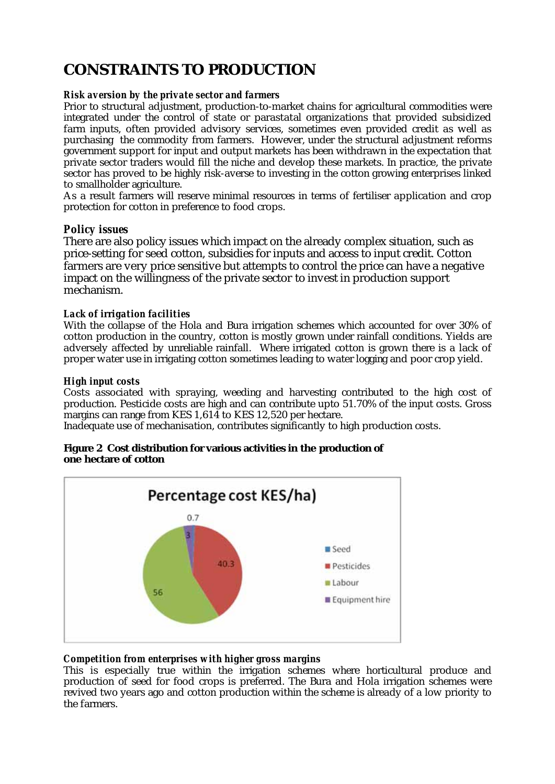# **CONSTRAINTS TO PRODUCTION**

## *Risk aversion by the private sector and farmers*

Prior to structural adjustment, production-to-market chains for agricultural commodities were integrated under the control of state or parastatal organizations that provided subsidized farm inputs, often provided advisory services, sometimes even provided credit as well as purchasing the commodity from farmers. However, under the structural adjustment reforms government support for input and output markets has been withdrawn in the expectation that private sector traders would fill the niche and develop these markets. In practice, the private sector has proved to be highly risk-averse to investing in the cotton growing enterprises linked to smallholder agriculture.

As a result farmers will reserve minimal resources in terms of fertiliser application and crop protection for cotton in preference to food crops.

# *Policy issues*

There are also policy issues which impact on the already complex situation, such as price-setting for seed cotton, subsidies for inputs and access to input credit. Cotton farmers are very price sensitive but attempts to control the price can have a negative impact on the willingness of the private sector to invest in production support mechanism.

### *Lack of irrigation facilities*

With the collapse of the Hola and Bura irrigation schemes which accounted for over 30% of cotton production in the country, cotton is mostly grown under rainfall conditions. Yields are adversely affected by unreliable rainfall. Where irrigated cotton is grown there is a lack of proper water use in irrigating cotton sometimes leading to water logging and poor crop yield.

# *High input costs*

Costs associated with spraying, weeding and harvesting contributed to the high cost of production. Pesticide costs are high and can contribute upto 51.70% of the input costs. Gross margins can range from KES 1,614 to KES 12,520 per hectare.

Inadequate use of mechanisation, contributes significantly to high production costs.

### **Figure 2 Cost distribution for various activities in the production of one hectare of cotton**



# *Competition from enterprises with higher gross margins*

This is especially true within the irrigation schemes where horticultural produce and production of seed for food crops is preferred. The Bura and Hola irrigation schemes were revived two years ago and cotton production within the scheme is already of a low priority to the farmers.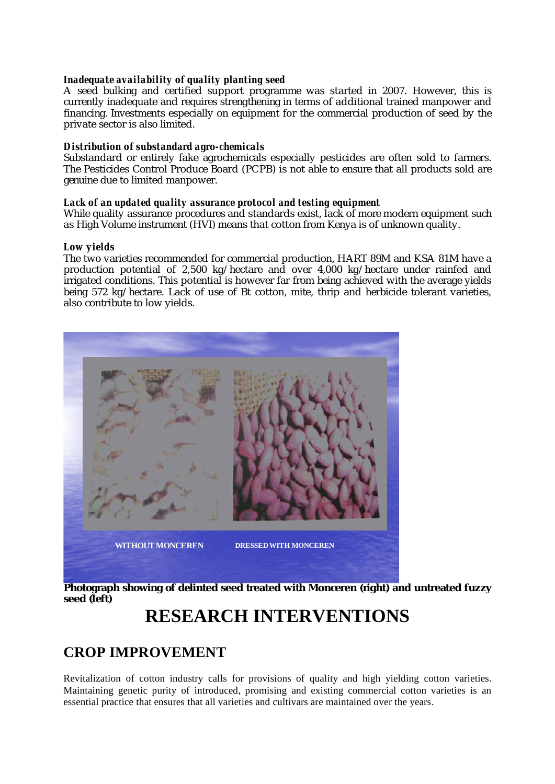### *Inadequate availability of quality planting seed*

A seed bulking and certified support programme was started in 2007. However, this is currently inadequate and requires strengthening in terms of additional trained manpower and financing. Investments especially on equipment for the commercial production of seed by the private sector is also limited.

### *Distribution of substandard agro-chemicals*

Substandard or entirely fake agrochemicals especially pesticides are often sold to farmers. The Pesticides Control Produce Board (PCPB) is not able to ensure that all products sold are genuine due to limited manpower.

### *Lack of an updated quality assurance protocol and testing equipment*

While quality assurance procedures and standards exist, lack of more modern equipment such as High Volume instrument (HVI) means that cotton from Kenya is of unknown quality.

### *Low yields*

The two varieties recommended for commercial production, HART 89M and KSA 81M have a production potential of 2,500 kg/hectare and over 4,000 kg/hectare under rainfed and irrigated conditions. This potential is however far from being achieved with the average yields being 572 kg/hectare. Lack of use of Bt cotton, mite, thrip and herbicide tolerant varieties, also contribute to low yields.



**Photograph showing of delinted seed treated with Monceren (right) and untreated fuzzy seed (left)** 

# **RESEARCH INTERVENTIONS**

# **CROP IMPROVEMENT**

Revitalization of cotton industry calls for provisions of quality and high yielding cotton varieties. Maintaining genetic purity of introduced, promising and existing commercial cotton varieties is an essential practice that ensures that all varieties and cultivars are maintained over the years.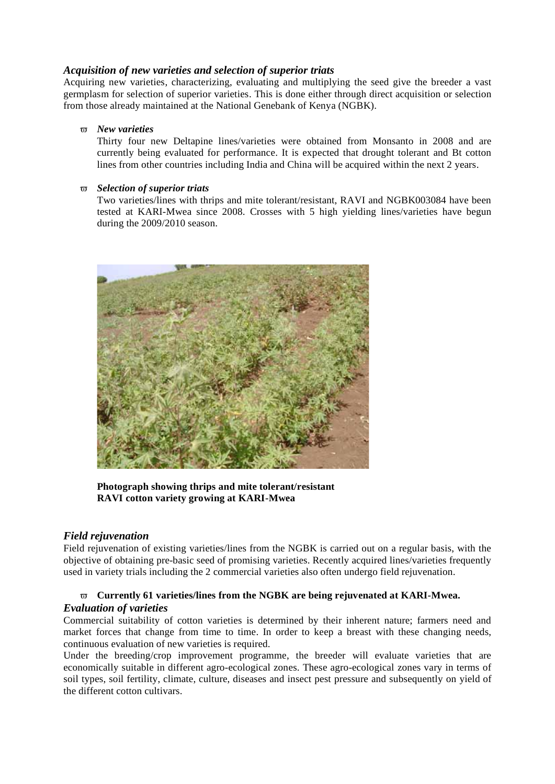# *Acquisition of new varieties and selection of superior triats*

Acquiring new varieties, characterizing, evaluating and multiplying the seed give the breeder a vast germplasm for selection of superior varieties. This is done either through direct acquisition or selection from those already maintained at the National Genebank of Kenya (NGBK).

### *New varieties*

Thirty four new Deltapine lines/varieties were obtained from Monsanto in 2008 and are currently being evaluated for performance. It is expected that drought tolerant and Bt cotton lines from other countries including India and China will be acquired within the next 2 years.

### *Selection of superior triats*

Two varieties/lines with thrips and mite tolerant/resistant, RAVI and NGBK003084 have been tested at KARI-Mwea since 2008. Crosses with 5 high yielding lines/varieties have begun during the 2009/2010 season.



**Photograph showing thrips and mite tolerant/resistant RAVI cotton variety growing at KARI-Mwea** 

# *Field rejuvenation*

Field rejuvenation of existing varieties/lines from the NGBK is carried out on a regular basis, with the objective of obtaining pre-basic seed of promising varieties. Recently acquired lines/varieties frequently used in variety trials including the 2 commercial varieties also often undergo field rejuvenation.

# **Currently 61 varieties/lines from the NGBK are being rejuvenated at KARI-Mwea.**  *Evaluation of varieties*

Commercial suitability of cotton varieties is determined by their inherent nature; farmers need and market forces that change from time to time. In order to keep a breast with these changing needs, continuous evaluation of new varieties is required.

Under the breeding/crop improvement programme, the breeder will evaluate varieties that are economically suitable in different agro-ecological zones. These agro-ecological zones vary in terms of soil types, soil fertility, climate, culture, diseases and insect pest pressure and subsequently on yield of the different cotton cultivars.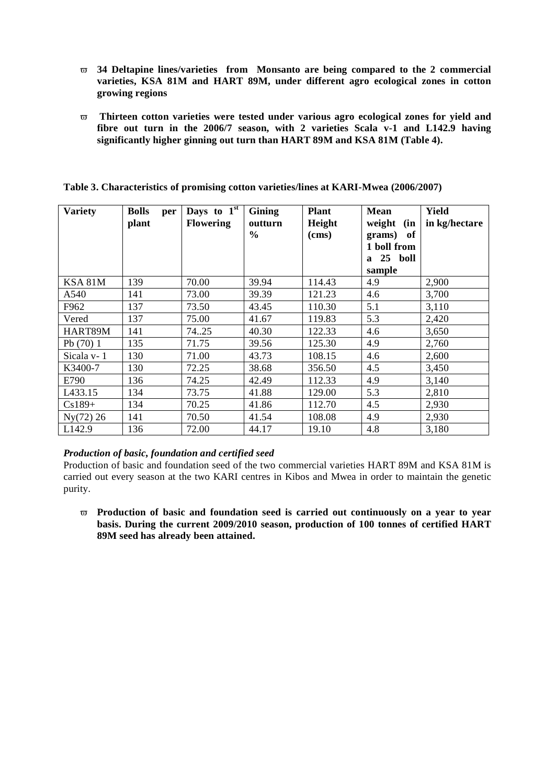- **34 Deltapine lines/varieties from Monsanto are being compared to the 2 commercial varieties, KSA 81M and HART 89M, under different agro ecological zones in cotton growing regions**
- **Thirteen cotton varieties were tested under various agro ecological zones for yield and fibre out turn in the 2006/7 season, with 2 varieties Scala v-1 and L142.9 having significantly higher ginning out turn than HART 89M and KSA 81M (Table 4).**

| <b>Variety</b> | <b>Bolls</b><br>per<br>plant | Days to $1st$<br><b>Flowering</b> | Gining<br>outturn | <b>Plant</b><br>Height | <b>Mean</b><br>weight<br>(in | <b>Yield</b><br>in kg/hectare |
|----------------|------------------------------|-----------------------------------|-------------------|------------------------|------------------------------|-------------------------------|
|                |                              |                                   | $\frac{0}{0}$     | (cms)                  | of<br>grams)                 |                               |
|                |                              |                                   |                   |                        | 1 boll from                  |                               |
|                |                              |                                   |                   |                        | a 25 boll                    |                               |
|                |                              |                                   |                   |                        | sample                       |                               |
| KSA 81M        | 139                          | 70.00                             | 39.94             | 114.43                 | 4.9                          | 2,900                         |
| A540           | 141                          | 73.00                             | 39.39             | 121.23                 | 4.6                          | 3,700                         |
| F962           | 137                          | 73.50                             | 43.45             | 110.30                 | 5.1                          | 3,110                         |
| Vered          | 137                          | 75.00                             | 41.67             | 119.83                 | 5.3                          | 2,420                         |
| HART89M        | 141                          | 74.25                             | 40.30             | 122.33                 | 4.6                          | 3,650                         |
| Pb $(70)$ 1    | 135                          | 71.75                             | 39.56             | 125.30                 | 4.9                          | 2,760                         |
| Sicala v-1     | 130                          | 71.00                             | 43.73             | 108.15                 | 4.6                          | 2,600                         |
| K3400-7        | 130                          | 72.25                             | 38.68             | 356.50                 | 4.5                          | 3,450                         |
| E790           | 136                          | 74.25                             | 42.49             | 112.33                 | 4.9                          | 3,140                         |
| L433.15        | 134                          | 73.75                             | 41.88             | 129.00                 | 5.3                          | 2,810                         |
| $Cs189+$       | 134                          | 70.25                             | 41.86             | 112.70                 | 4.5                          | 2,930                         |
| Ny(72) 26      | 141                          | 70.50                             | 41.54             | 108.08                 | 4.9                          | 2,930                         |
| L142.9         | 136                          | 72.00                             | 44.17             | 19.10                  | 4.8                          | 3,180                         |

**Table 3. Characteristics of promising cotton varieties/lines at KARI-Mwea (2006/2007)** 

### *Production of basic, foundation and certified seed*

Production of basic and foundation seed of the two commercial varieties HART 89M and KSA 81M is carried out every season at the two KARI centres in Kibos and Mwea in order to maintain the genetic purity.

 **Production of basic and foundation seed is carried out continuously on a year to year basis. During the current 2009/2010 season, production of 100 tonnes of certified HART 89M seed has already been attained.**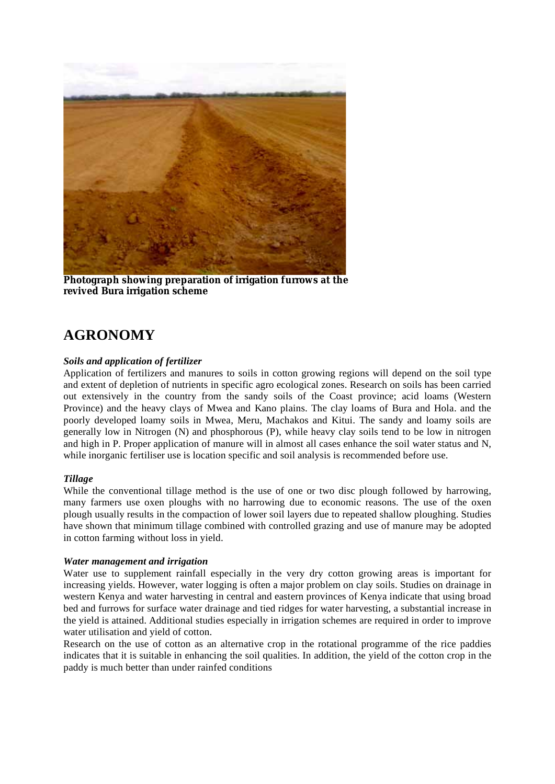

**Photograph showing preparation of irrigation furrows at the revived Bura irrigation scheme** 

# **AGRONOMY**

### *Soils and application of fertilizer*

Application of fertilizers and manures to soils in cotton growing regions will depend on the soil type and extent of depletion of nutrients in specific agro ecological zones. Research on soils has been carried out extensively in the country from the sandy soils of the Coast province; acid loams (Western Province) and the heavy clays of Mwea and Kano plains. The clay loams of Bura and Hola. and the poorly developed loamy soils in Mwea, Meru, Machakos and Kitui. The sandy and loamy soils are generally low in Nitrogen (N) and phosphorous (P), while heavy clay soils tend to be low in nitrogen and high in P. Proper application of manure will in almost all cases enhance the soil water status and N, while inorganic fertiliser use is location specific and soil analysis is recommended before use.

### *Tillage*

While the conventional tillage method is the use of one or two disc plough followed by harrowing, many farmers use oxen ploughs with no harrowing due to economic reasons. The use of the oxen plough usually results in the compaction of lower soil layers due to repeated shallow ploughing. Studies have shown that minimum tillage combined with controlled grazing and use of manure may be adopted in cotton farming without loss in yield.

### *Water management and irrigation*

Water use to supplement rainfall especially in the very dry cotton growing areas is important for increasing yields. However, water logging is often a major problem on clay soils. Studies on drainage in western Kenya and water harvesting in central and eastern provinces of Kenya indicate that using broad bed and furrows for surface water drainage and tied ridges for water harvesting, a substantial increase in the yield is attained. Additional studies especially in irrigation schemes are required in order to improve water utilisation and yield of cotton.

Research on the use of cotton as an alternative crop in the rotational programme of the rice paddies indicates that it is suitable in enhancing the soil qualities. In addition, the yield of the cotton crop in the paddy is much better than under rainfed conditions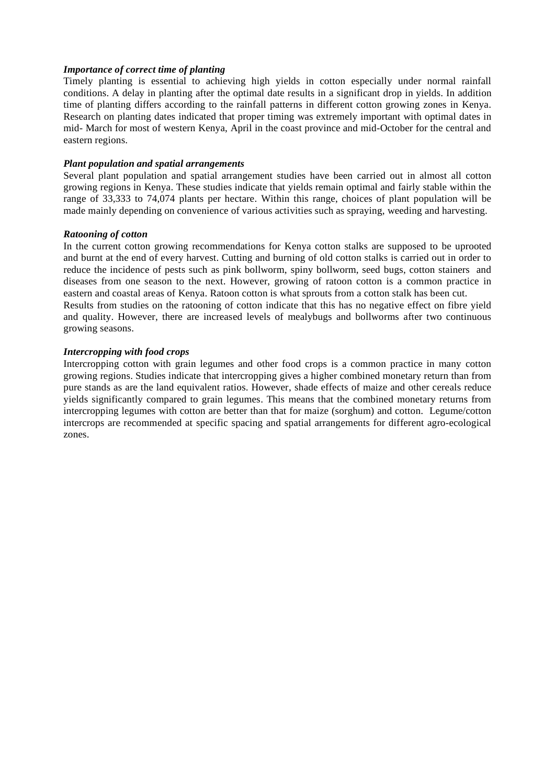### *Importance of correct time of planting*

Timely planting is essential to achieving high yields in cotton especially under normal rainfall conditions. A delay in planting after the optimal date results in a significant drop in yields. In addition time of planting differs according to the rainfall patterns in different cotton growing zones in Kenya. Research on planting dates indicated that proper timing was extremely important with optimal dates in mid- March for most of western Kenya, April in the coast province and mid-October for the central and eastern regions.

### *Plant population and spatial arrangements*

Several plant population and spatial arrangement studies have been carried out in almost all cotton growing regions in Kenya. These studies indicate that yields remain optimal and fairly stable within the range of 33,333 to 74,074 plants per hectare. Within this range, choices of plant population will be made mainly depending on convenience of various activities such as spraying, weeding and harvesting.

#### *Ratooning of cotton*

In the current cotton growing recommendations for Kenya cotton stalks are supposed to be uprooted and burnt at the end of every harvest. Cutting and burning of old cotton stalks is carried out in order to reduce the incidence of pests such as pink bollworm, spiny bollworm, seed bugs, cotton stainers and diseases from one season to the next. However, growing of ratoon cotton is a common practice in eastern and coastal areas of Kenya. Ratoon cotton is what sprouts from a cotton stalk has been cut. Results from studies on the ratooning of cotton indicate that this has no negative effect on fibre yield and quality. However, there are increased levels of mealybugs and bollworms after two continuous growing seasons.

### *Intercropping with food crops*

Intercropping cotton with grain legumes and other food crops is a common practice in many cotton growing regions. Studies indicate that intercropping gives a higher combined monetary return than from pure stands as are the land equivalent ratios. However, shade effects of maize and other cereals reduce yields significantly compared to grain legumes. This means that the combined monetary returns from intercropping legumes with cotton are better than that for maize (sorghum) and cotton. Legume/cotton intercrops are recommended at specific spacing and spatial arrangements for different agro-ecological zones.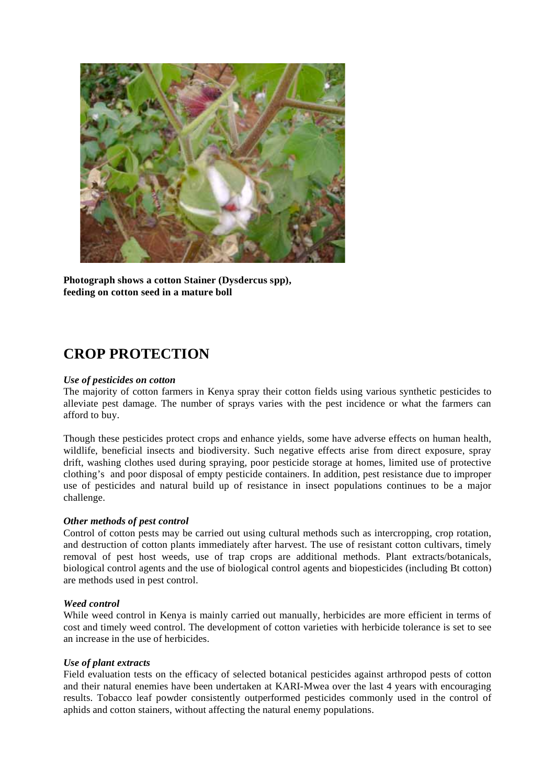

**Photograph shows a cotton Stainer (Dysdercus spp), feeding on cotton seed in a mature boll** 

# **CROP PROTECTION**

### *Use of pesticides on cotton*

The majority of cotton farmers in Kenya spray their cotton fields using various synthetic pesticides to alleviate pest damage. The number of sprays varies with the pest incidence or what the farmers can afford to buy.

Though these pesticides protect crops and enhance yields, some have adverse effects on human health, wildlife, beneficial insects and biodiversity. Such negative effects arise from direct exposure, spray drift, washing clothes used during spraying, poor pesticide storage at homes, limited use of protective clothing's and poor disposal of empty pesticide containers. In addition, pest resistance due to improper use of pesticides and natural build up of resistance in insect populations continues to be a major challenge.

#### *Other methods of pest control*

Control of cotton pests may be carried out using cultural methods such as intercropping, crop rotation, and destruction of cotton plants immediately after harvest. The use of resistant cotton cultivars, timely removal of pest host weeds, use of trap crops are additional methods. Plant extracts/botanicals, biological control agents and the use of biological control agents and biopesticides (including Bt cotton) are methods used in pest control.

### *Weed control*

While weed control in Kenya is mainly carried out manually, herbicides are more efficient in terms of cost and timely weed control. The development of cotton varieties with herbicide tolerance is set to see an increase in the use of herbicides.

#### *Use of plant extracts*

Field evaluation tests on the efficacy of selected botanical pesticides against arthropod pests of cotton and their natural enemies have been undertaken at KARI-Mwea over the last 4 years with encouraging results. Tobacco leaf powder consistently outperformed pesticides commonly used in the control of aphids and cotton stainers, without affecting the natural enemy populations.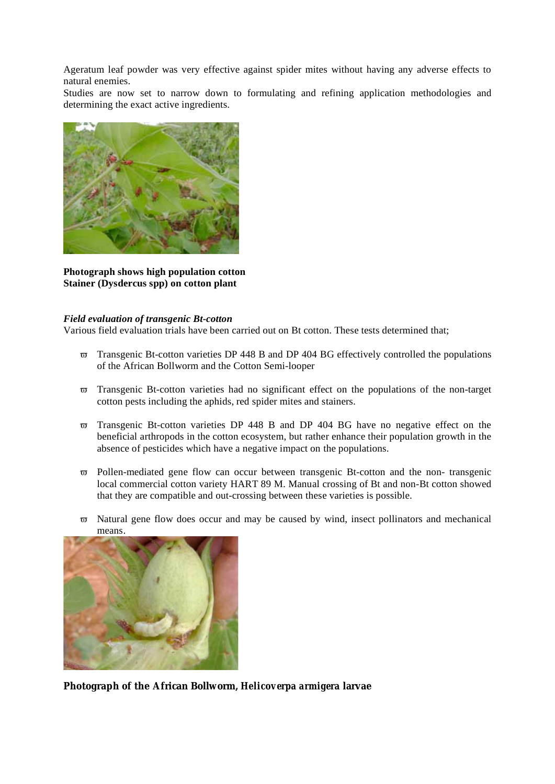Ageratum leaf powder was very effective against spider mites without having any adverse effects to natural enemies.

Studies are now set to narrow down to formulating and refining application methodologies and determining the exact active ingredients.



**Photograph shows high population cotton Stainer (Dysdercus spp) on cotton plant** 

### *Field evaluation of transgenic Bt-cotton*

Various field evaluation trials have been carried out on Bt cotton. These tests determined that;

- $\overline{\sigma}$  Transgenic Bt-cotton varieties DP 448 B and DP 404 BG effectively controlled the populations of the African Bollworm and the Cotton Semi-looper
- $\overline{\sigma}$  Transgenic Bt-cotton varieties had no significant effect on the populations of the non-target cotton pests including the aphids, red spider mites and stainers.
- $\overline{\sigma}$  Transgenic Bt-cotton varieties DP 448 B and DP 404 BG have no negative effect on the beneficial arthropods in the cotton ecosystem, but rather enhance their population growth in the absence of pesticides which have a negative impact on the populations.
- $\overline{\sigma}$  Pollen-mediated gene flow can occur between transgenic Bt-cotton and the non- transgenic local commercial cotton variety HART 89 M. Manual crossing of Bt and non-Bt cotton showed that they are compatible and out-crossing between these varieties is possible.
- $\overline{\sigma}$  Natural gene flow does occur and may be caused by wind, insect pollinators and mechanical means.



**Photograph of the African Bollworm,** *Helicoverpa armigera* **larvae**